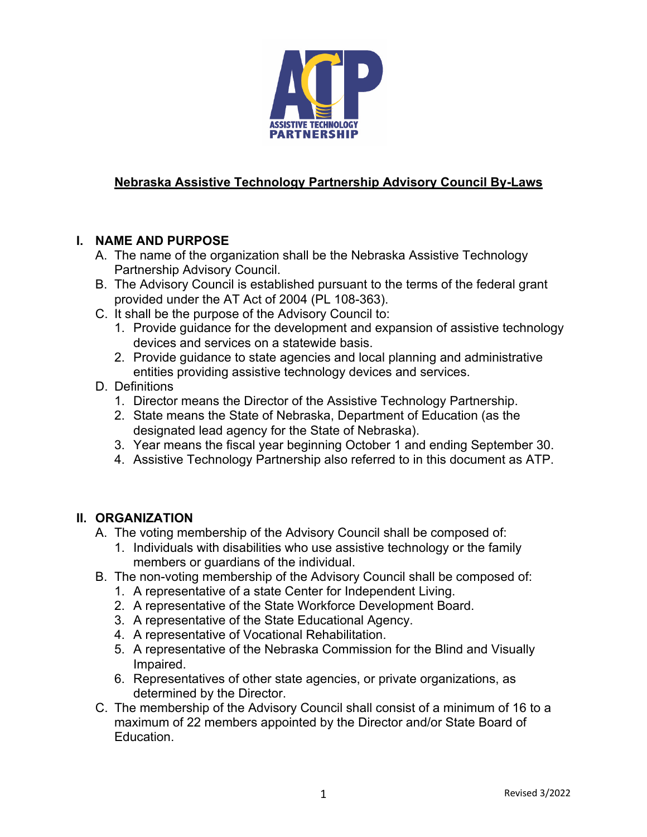

# **Nebraska Assistive Technology Partnership Advisory Council By-Laws**

## **I. NAME AND PURPOSE**

- A. The name of the organization shall be the Nebraska Assistive Technology Partnership Advisory Council.
- B. The Advisory Council is established pursuant to the terms of the federal grant provided under the AT Act of 2004 (PL 108-363).
- C. It shall be the purpose of the Advisory Council to:
	- 1. Provide guidance for the development and expansion of assistive technology devices and services on a statewide basis.
	- 2. Provide guidance to state agencies and local planning and administrative entities providing assistive technology devices and services.
- D. Definitions
	- 1. Director means the Director of the Assistive Technology Partnership.
	- 2. State means the State of Nebraska, Department of Education (as the designated lead agency for the State of Nebraska).
	- 3. Year means the fiscal year beginning October 1 and ending September 30.
	- 4. Assistive Technology Partnership also referred to in this document as ATP.

#### **II. ORGANIZATION**

- A. The voting membership of the Advisory Council shall be composed of:
	- 1. Individuals with disabilities who use assistive technology or the family members or guardians of the individual.
- B. The non-voting membership of the Advisory Council shall be composed of:
	- 1. A representative of a state Center for Independent Living.
	- 2. A representative of the State Workforce Development Board.
	- 3. A representative of the State Educational Agency.
	- 4. A representative of Vocational Rehabilitation.
	- 5. A representative of the Nebraska Commission for the Blind and Visually Impaired.
	- 6. Representatives of other state agencies, or private organizations, as determined by the Director.
- C. The membership of the Advisory Council shall consist of a minimum of 16 to a maximum of 22 members appointed by the Director and/or State Board of Education.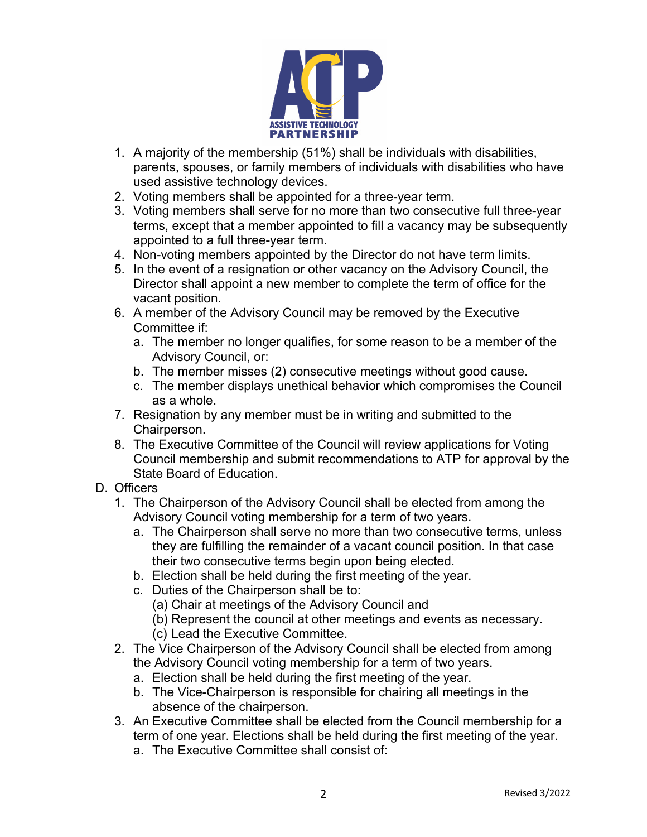

- 1. A majority of the membership (51%) shall be individuals with disabilities, parents, spouses, or family members of individuals with disabilities who have used assistive technology devices.
- 2. Voting members shall be appointed for a three-year term.
- 3. Voting members shall serve for no more than two consecutive full three-year terms, except that a member appointed to fill a vacancy may be subsequently appointed to a full three-year term.
- 4. Non-voting members appointed by the Director do not have term limits.
- 5. In the event of a resignation or other vacancy on the Advisory Council, the Director shall appoint a new member to complete the term of office for the vacant position.
- 6. A member of the Advisory Council may be removed by the Executive Committee if:
	- a. The member no longer qualifies, for some reason to be a member of the Advisory Council, or:
	- b. The member misses (2) consecutive meetings without good cause.
	- c. The member displays unethical behavior which compromises the Council as a whole.
- 7. Resignation by any member must be in writing and submitted to the Chairperson.
- 8. The Executive Committee of the Council will review applications for Voting Council membership and submit recommendations to ATP for approval by the State Board of Education.
- D. Officers
	- 1. The Chairperson of the Advisory Council shall be elected from among the Advisory Council voting membership for a term of two years.
		- a. The Chairperson shall serve no more than two consecutive terms, unless they are fulfilling the remainder of a vacant council position. In that case their two consecutive terms begin upon being elected.
		- b. Election shall be held during the first meeting of the year.
		- c. Duties of the Chairperson shall be to:
			- (a) Chair at meetings of the Advisory Council and
			- (b) Represent the council at other meetings and events as necessary.
			- (c) Lead the Executive Committee.
	- 2. The Vice Chairperson of the Advisory Council shall be elected from among the Advisory Council voting membership for a term of two years.
		- a. Election shall be held during the first meeting of the year.
		- b. The Vice-Chairperson is responsible for chairing all meetings in the absence of the chairperson.
	- 3. An Executive Committee shall be elected from the Council membership for a term of one year. Elections shall be held during the first meeting of the year.
		- a. The Executive Committee shall consist of: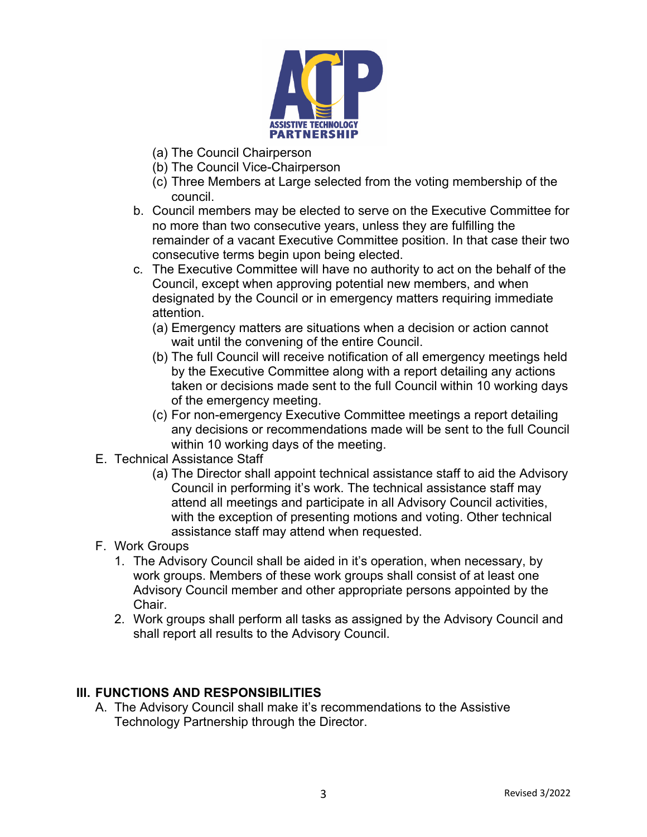

- (a) The Council Chairperson
- (b) The Council Vice-Chairperson
- (c) Three Members at Large selected from the voting membership of the council.
- b. Council members may be elected to serve on the Executive Committee for no more than two consecutive years, unless they are fulfilling the remainder of a vacant Executive Committee position. In that case their two consecutive terms begin upon being elected.
- c. The Executive Committee will have no authority to act on the behalf of the Council, except when approving potential new members, and when designated by the Council or in emergency matters requiring immediate attention.
	- (a) Emergency matters are situations when a decision or action cannot wait until the convening of the entire Council.
	- (b) The full Council will receive notification of all emergency meetings held by the Executive Committee along with a report detailing any actions taken or decisions made sent to the full Council within 10 working days of the emergency meeting.
	- (c) For non-emergency Executive Committee meetings a report detailing any decisions or recommendations made will be sent to the full Council within 10 working days of the meeting.
- E. Technical Assistance Staff
	- (a) The Director shall appoint technical assistance staff to aid the Advisory Council in performing it's work. The technical assistance staff may attend all meetings and participate in all Advisory Council activities, with the exception of presenting motions and voting. Other technical assistance staff may attend when requested.
- F. Work Groups
	- 1. The Advisory Council shall be aided in it's operation, when necessary, by work groups. Members of these work groups shall consist of at least one Advisory Council member and other appropriate persons appointed by the Chair.
	- 2. Work groups shall perform all tasks as assigned by the Advisory Council and shall report all results to the Advisory Council.

#### **III. FUNCTIONS AND RESPONSIBILITIES**

A. The Advisory Council shall make it's recommendations to the Assistive Technology Partnership through the Director.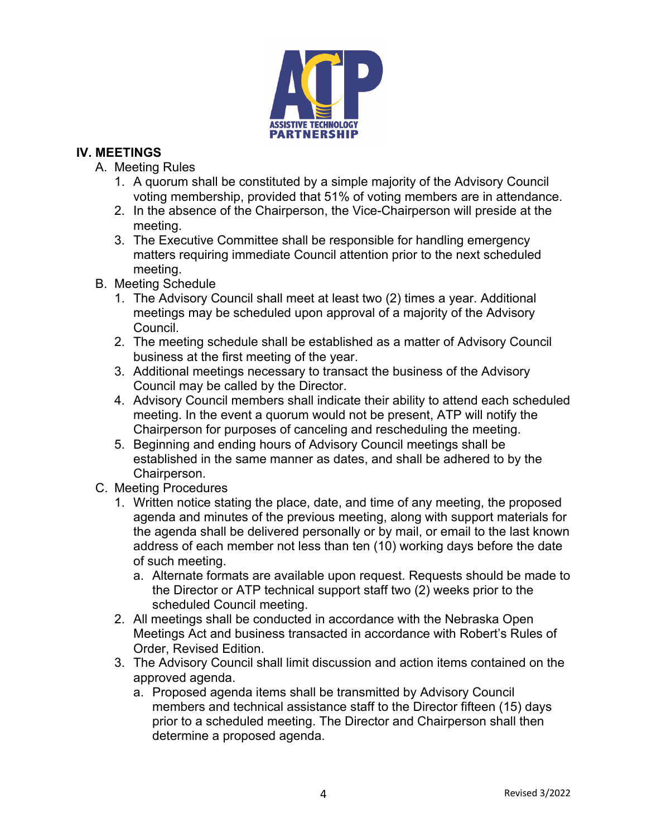

### **IV. MEETINGS**

- A. Meeting Rules
	- 1. A quorum shall be constituted by a simple majority of the Advisory Council voting membership, provided that 51% of voting members are in attendance.
	- 2. In the absence of the Chairperson, the Vice-Chairperson will preside at the meeting.
	- 3. The Executive Committee shall be responsible for handling emergency matters requiring immediate Council attention prior to the next scheduled meeting.
- B. Meeting Schedule
	- 1. The Advisory Council shall meet at least two (2) times a year. Additional meetings may be scheduled upon approval of a majority of the Advisory Council.
	- 2. The meeting schedule shall be established as a matter of Advisory Council business at the first meeting of the year.
	- 3. Additional meetings necessary to transact the business of the Advisory Council may be called by the Director.
	- 4. Advisory Council members shall indicate their ability to attend each scheduled meeting. In the event a quorum would not be present, ATP will notify the Chairperson for purposes of canceling and rescheduling the meeting.
	- 5. Beginning and ending hours of Advisory Council meetings shall be established in the same manner as dates, and shall be adhered to by the Chairperson.
- C. Meeting Procedures
	- 1. Written notice stating the place, date, and time of any meeting, the proposed agenda and minutes of the previous meeting, along with support materials for the agenda shall be delivered personally or by mail, or email to the last known address of each member not less than ten (10) working days before the date of such meeting.
		- a. Alternate formats are available upon request. Requests should be made to the Director or ATP technical support staff two (2) weeks prior to the scheduled Council meeting.
	- 2. All meetings shall be conducted in accordance with the Nebraska Open Meetings Act and business transacted in accordance with Robert's Rules of Order, Revised Edition.
	- 3. The Advisory Council shall limit discussion and action items contained on the approved agenda.
		- a. Proposed agenda items shall be transmitted by Advisory Council members and technical assistance staff to the Director fifteen (15) days prior to a scheduled meeting. The Director and Chairperson shall then determine a proposed agenda.